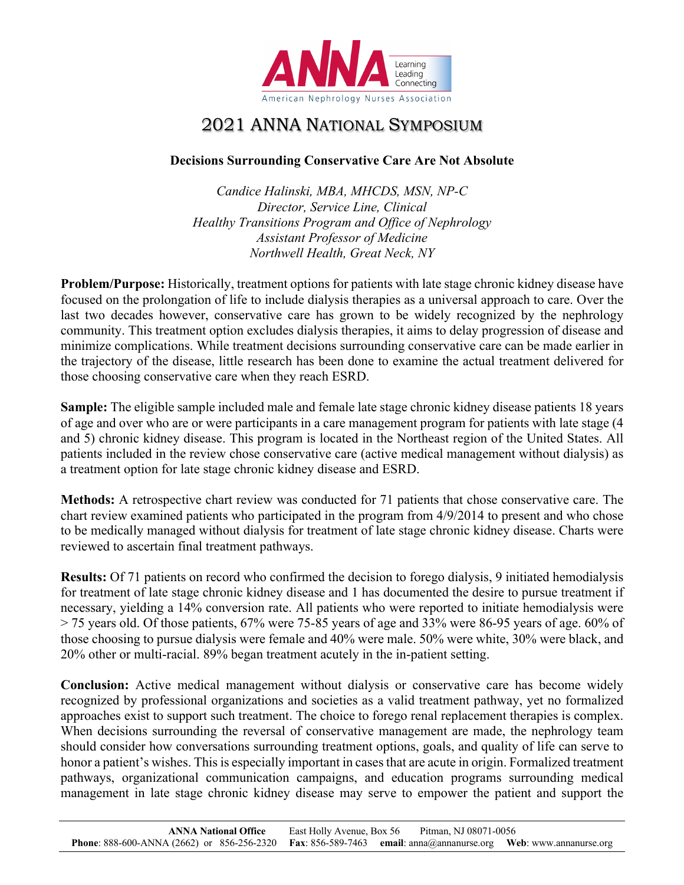

## 2021 ANNA NATIONAL SYMPOSIUM

## **Decisions Surrounding Conservative Care Are Not Absolute**

*Candice Halinski, MBA, MHCDS, MSN, NP-C Director, Service Line, Clinical Healthy Transitions Program and Office of Nephrology Assistant Professor of Medicine Northwell Health, Great Neck, NY*

**Problem/Purpose:** Historically, treatment options for patients with late stage chronic kidney disease have focused on the prolongation of life to include dialysis therapies as a universal approach to care. Over the last two decades however, conservative care has grown to be widely recognized by the nephrology community. This treatment option excludes dialysis therapies, it aims to delay progression of disease and minimize complications. While treatment decisions surrounding conservative care can be made earlier in the trajectory of the disease, little research has been done to examine the actual treatment delivered for those choosing conservative care when they reach ESRD.

**Sample:** The eligible sample included male and female late stage chronic kidney disease patients 18 years of age and over who are or were participants in a care management program for patients with late stage (4 and 5) chronic kidney disease. This program is located in the Northeast region of the United States. All patients included in the review chose conservative care (active medical management without dialysis) as a treatment option for late stage chronic kidney disease and ESRD.

**Methods:** A retrospective chart review was conducted for 71 patients that chose conservative care. The chart review examined patients who participated in the program from 4/9/2014 to present and who chose to be medically managed without dialysis for treatment of late stage chronic kidney disease. Charts were reviewed to ascertain final treatment pathways.

**Results:** Of 71 patients on record who confirmed the decision to forego dialysis, 9 initiated hemodialysis for treatment of late stage chronic kidney disease and 1 has documented the desire to pursue treatment if necessary, yielding a 14% conversion rate. All patients who were reported to initiate hemodialysis were > 75 years old. Of those patients, 67% were 75-85 years of age and 33% were 86-95 years of age. 60% of those choosing to pursue dialysis were female and 40% were male. 50% were white, 30% were black, and 20% other or multi-racial. 89% began treatment acutely in the in-patient setting.

**Conclusion:** Active medical management without dialysis or conservative care has become widely recognized by professional organizations and societies as a valid treatment pathway, yet no formalized approaches exist to support such treatment. The choice to forego renal replacement therapies is complex. When decisions surrounding the reversal of conservative management are made, the nephrology team should consider how conversations surrounding treatment options, goals, and quality of life can serve to honor a patient's wishes. This is especially important in cases that are acute in origin. Formalized treatment pathways, organizational communication campaigns, and education programs surrounding medical management in late stage chronic kidney disease may serve to empower the patient and support the